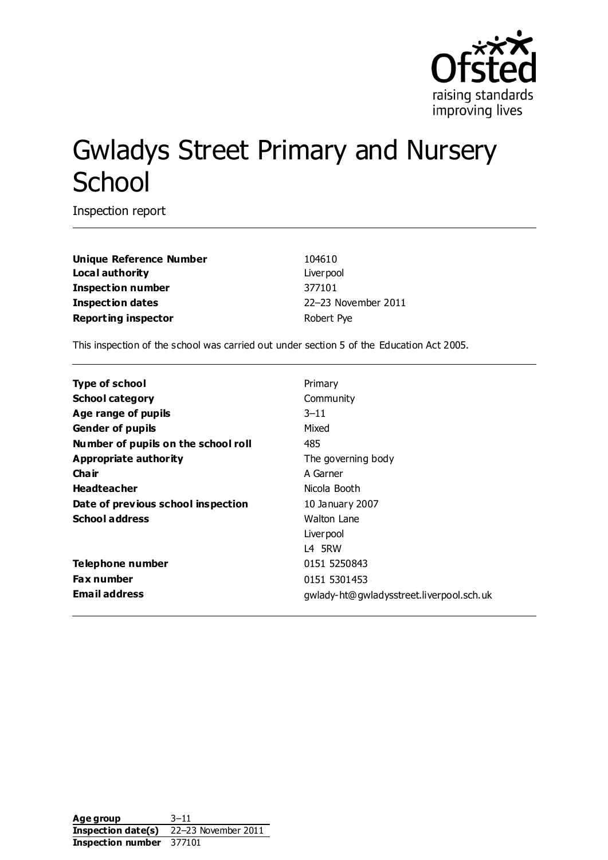

# Gwladys Street Primary and Nursery **School**

Inspection report

**Unique Reference Number** 104610 **Local authority** Liverpool **Inspection number** 377101 **Inspection dates** 22–23 November 2011 **Reporting inspector Reporting inspector Robert Pye** 

This inspection of the school was carried out under section 5 of the Education Act 2005.

| Primary                                  |
|------------------------------------------|
| Community                                |
| $3 - 11$                                 |
| Mixed                                    |
| 485                                      |
| The governing body                       |
| A Garner                                 |
| Nicola Booth                             |
| 10 January 2007                          |
| Walton Lane                              |
| Liver pool                               |
| L4 5RW                                   |
| 0151 5250843                             |
| 0151 5301453                             |
| gwlady-ht@gwladysstreet.liverpool.sch.uk |
|                                          |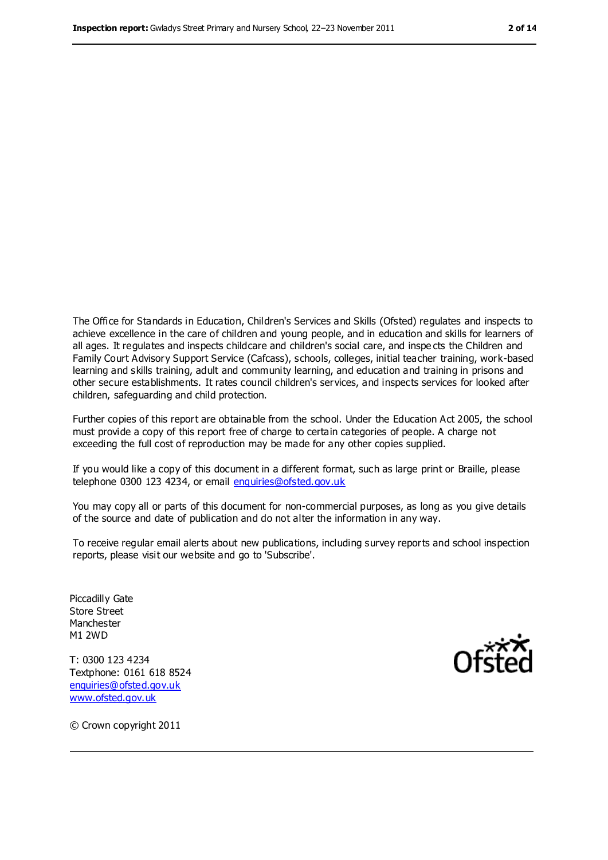The Office for Standards in Education, Children's Services and Skills (Ofsted) regulates and inspects to achieve excellence in the care of children and young people, and in education and skills for learners of all ages. It regulates and inspects childcare and children's social care, and inspe cts the Children and Family Court Advisory Support Service (Cafcass), schools, colleges, initial teacher training, work-based learning and skills training, adult and community learning, and education and training in prisons and other secure establishments. It rates council children's services, and inspects services for looked after children, safeguarding and child protection.

Further copies of this report are obtainable from the school. Under the Education Act 2005, the school must provide a copy of this report free of charge to certain categories of people. A charge not exceeding the full cost of reproduction may be made for any other copies supplied.

If you would like a copy of this document in a different format, such as large print or Braille, please telephone 0300 123 4234, or email [enquiries@ofsted.gov.uk](mailto:enquiries@ofsted.gov.uk)

You may copy all or parts of this document for non-commercial purposes, as long as you give details of the source and date of publication and do not alter the information in any way.

To receive regular email alerts about new publications, including survey reports and school inspection reports, please visit our website and go to 'Subscribe'.

Piccadilly Gate Store Street Manchester M1 2WD

T: 0300 123 4234 Textphone: 0161 618 8524 [enquiries@ofsted.gov.uk](mailto:enquiries@ofsted.gov.uk) [www.ofsted.gov.uk](http://www.ofsted.gov.uk/)



© Crown copyright 2011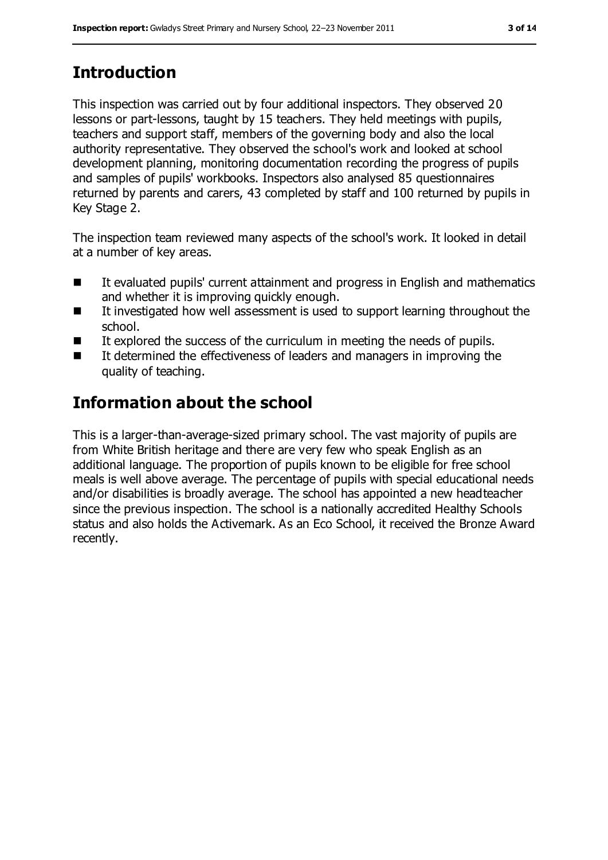# **Introduction**

This inspection was carried out by four additional inspectors. They observed 20 lessons or part-lessons, taught by 15 teachers. They held meetings with pupils, teachers and support staff, members of the governing body and also the local authority representative. They observed the school's work and looked at school development planning, monitoring documentation recording the progress of pupils and samples of pupils' workbooks. Inspectors also analysed 85 questionnaires returned by parents and carers, 43 completed by staff and 100 returned by pupils in Key Stage 2.

The inspection team reviewed many aspects of the school's work. It looked in detail at a number of key areas.

- It evaluated pupils' current attainment and progress in English and mathematics and whether it is improving quickly enough.
- $\blacksquare$  It investigated how well assessment is used to support learning throughout the school.
- It explored the success of the curriculum in meeting the needs of pupils.
- It determined the effectiveness of leaders and managers in improving the quality of teaching.

# **Information about the school**

This is a larger-than-average-sized primary school. The vast majority of pupils are from White British heritage and there are very few who speak English as an additional language. The proportion of pupils known to be eligible for free school meals is well above average. The percentage of pupils with special educational needs and/or disabilities is broadly average. The school has appointed a new headteacher since the previous inspection. The school is a nationally accredited Healthy Schools status and also holds the Activemark. As an Eco School, it received the Bronze Award recently.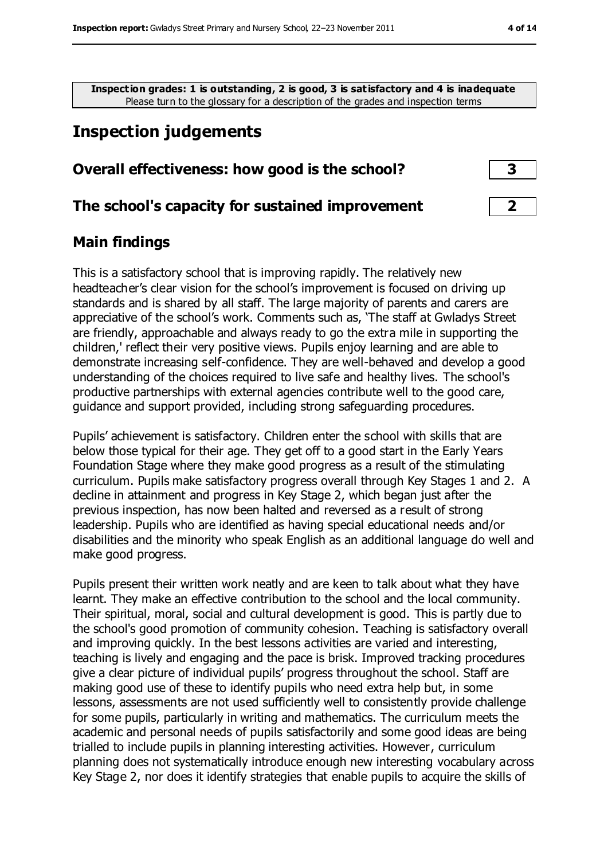**Inspection grades: 1 is outstanding, 2 is good, 3 is satisfactory and 4 is inadequate**

Please turn to the glossary for a description of the grades and inspection terms

# **Inspection judgements**

### **Overall effectiveness: how good is the school? 3**

### **The school's capacity for sustained improvement 2**

### **Main findings**

This is a satisfactory school that is improving rapidly. The relatively new headteacher's clear vision for the school's improvement is focused on driving up standards and is shared by all staff. The large majority of parents and carers are appreciative of the school's work. Comments such as, 'The staff at Gwladys Street are friendly, approachable and always ready to go the extra mile in supporting the children,' reflect their very positive views. Pupils enjoy learning and are able to demonstrate increasing self-confidence. They are well-behaved and develop a good understanding of the choices required to live safe and healthy lives. The school's productive partnerships with external agencies contribute well to the good care, guidance and support provided, including strong safeguarding procedures.

Pupils' achievement is satisfactory. Children enter the school with skills that are below those typical for their age. They get off to a good start in the Early Years Foundation Stage where they make good progress as a result of the stimulating curriculum. Pupils make satisfactory progress overall through Key Stages 1 and 2. A decline in attainment and progress in Key Stage 2, which began just after the previous inspection, has now been halted and reversed as a result of strong leadership. Pupils who are identified as having special educational needs and/or disabilities and the minority who speak English as an additional language do well and make good progress.

Pupils present their written work neatly and are keen to talk about what they have learnt. They make an effective contribution to the school and the local community. Their spiritual, moral, social and cultural development is good. This is partly due to the school's good promotion of community cohesion. Teaching is satisfactory overall and improving quickly. In the best lessons activities are varied and interesting, teaching is lively and engaging and the pace is brisk. Improved tracking procedures give a clear picture of individual pupils' progress throughout the school. Staff are making good use of these to identify pupils who need extra help but, in some lessons, assessments are not used sufficiently well to consistently provide challenge for some pupils, particularly in writing and mathematics. The curriculum meets the academic and personal needs of pupils satisfactorily and some good ideas are being trialled to include pupils in planning interesting activities. However, curriculum planning does not systematically introduce enough new interesting vocabulary across Key Stage 2, nor does it identify strategies that enable pupils to acquire the skills of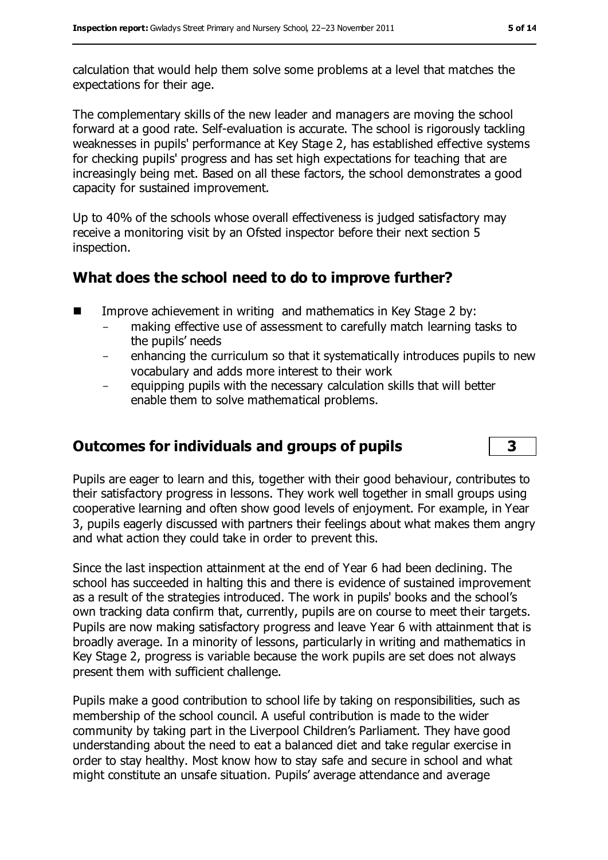calculation that would help them solve some problems at a level that matches the expectations for their age.

The complementary skills of the new leader and managers are moving the school forward at a good rate. Self-evaluation is accurate. The school is rigorously tackling weaknesses in pupils' performance at Key Stage 2, has established effective systems for checking pupils' progress and has set high expectations for teaching that are increasingly being met. Based on all these factors, the school demonstrates a good capacity for sustained improvement.

Up to 40% of the schools whose overall effectiveness is judged satisfactory may receive a monitoring visit by an Ofsted inspector before their next section 5 inspection.

# **What does the school need to do to improve further?**

- Improve achievement in writing and mathematics in Key Stage 2 by:
	- making effective use of assessment to carefully match learning tasks to the pupils' needs
	- enhancing the curriculum so that it systematically introduces pupils to new vocabulary and adds more interest to their work
	- equipping pupils with the necessary calculation skills that will better enable them to solve mathematical problems.

# **Outcomes for individuals and groups of pupils 3**

Pupils are eager to learn and this, together with their good behaviour, contributes to their satisfactory progress in lessons. They work well together in small groups using cooperative learning and often show good levels of enjoyment. For example, in Year 3, pupils eagerly discussed with partners their feelings about what makes them angry and what action they could take in order to prevent this.

Since the last inspection attainment at the end of Year 6 had been declining. The school has succeeded in halting this and there is evidence of sustained improvement as a result of the strategies introduced. The work in pupils' books and the school's own tracking data confirm that, currently, pupils are on course to meet their targets. Pupils are now making satisfactory progress and leave Year 6 with attainment that is broadly average. In a minority of lessons, particularly in writing and mathematics in Key Stage 2, progress is variable because the work pupils are set does not always present them with sufficient challenge.

Pupils make a good contribution to school life by taking on responsibilities, such as membership of the school council. A useful contribution is made to the wider community by taking part in the Liverpool Children's Parliament. They have good understanding about the need to eat a balanced diet and take regular exercise in order to stay healthy. Most know how to stay safe and secure in school and what might constitute an unsafe situation. Pupils' average attendance and average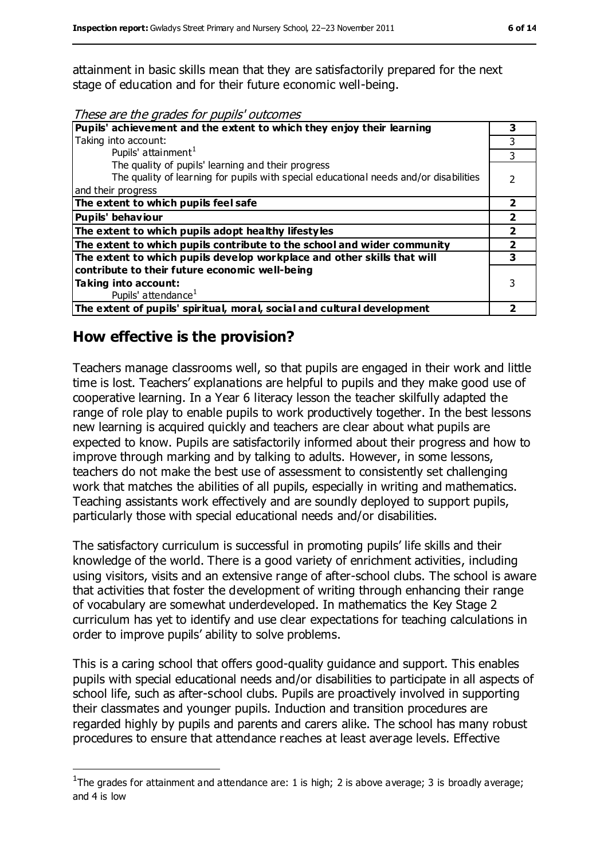attainment in basic skills mean that they are satisfactorily prepared for the next stage of education and for their future economic well-being.

These are the grades for pupils' outcomes

| Pupils' achievement and the extent to which they enjoy their learning                 |   |  |
|---------------------------------------------------------------------------------------|---|--|
| Taking into account:                                                                  |   |  |
| Pupils' attainment <sup>1</sup>                                                       | 3 |  |
| The quality of pupils' learning and their progress                                    |   |  |
| The quality of learning for pupils with special educational needs and/or disabilities |   |  |
| and their progress                                                                    |   |  |
| The extent to which pupils feel safe                                                  | 2 |  |
| Pupils' behaviour                                                                     |   |  |
| The extent to which pupils adopt healthy lifestyles                                   |   |  |
| The extent to which pupils contribute to the school and wider community               |   |  |
| The extent to which pupils develop workplace and other skills that will               |   |  |
| contribute to their future economic well-being                                        |   |  |
| Taking into account:                                                                  |   |  |
| Pupils' attendance <sup>1</sup>                                                       |   |  |
| The extent of pupils' spiritual, moral, social and cultural development               |   |  |

# **How effective is the provision?**

 $\overline{a}$ 

Teachers manage classrooms well, so that pupils are engaged in their work and little time is lost. Teachers' explanations are helpful to pupils and they make good use of cooperative learning. In a Year 6 literacy lesson the teacher skilfully adapted the range of role play to enable pupils to work productively together. In the best lessons new learning is acquired quickly and teachers are clear about what pupils are expected to know. Pupils are satisfactorily informed about their progress and how to improve through marking and by talking to adults. However, in some lessons, teachers do not make the best use of assessment to consistently set challenging work that matches the abilities of all pupils, especially in writing and mathematics. Teaching assistants work effectively and are soundly deployed to support pupils, particularly those with special educational needs and/or disabilities.

The satisfactory curriculum is successful in promoting pupils' life skills and their knowledge of the world. There is a good variety of enrichment activities, including using visitors, visits and an extensive range of after-school clubs. The school is aware that activities that foster the development of writing through enhancing their range of vocabulary are somewhat underdeveloped. In mathematics the Key Stage 2 curriculum has yet to identify and use clear expectations for teaching calculations in order to improve pupils' ability to solve problems.

This is a caring school that offers good-quality guidance and support. This enables pupils with special educational needs and/or disabilities to participate in all aspects of school life, such as after-school clubs. Pupils are proactively involved in supporting their classmates and younger pupils. Induction and transition procedures are regarded highly by pupils and parents and carers alike. The school has many robust procedures to ensure that attendance reaches at least average levels. Effective

<sup>&</sup>lt;sup>1</sup>The grades for attainment and attendance are: 1 is high; 2 is above average; 3 is broadly average; and 4 is low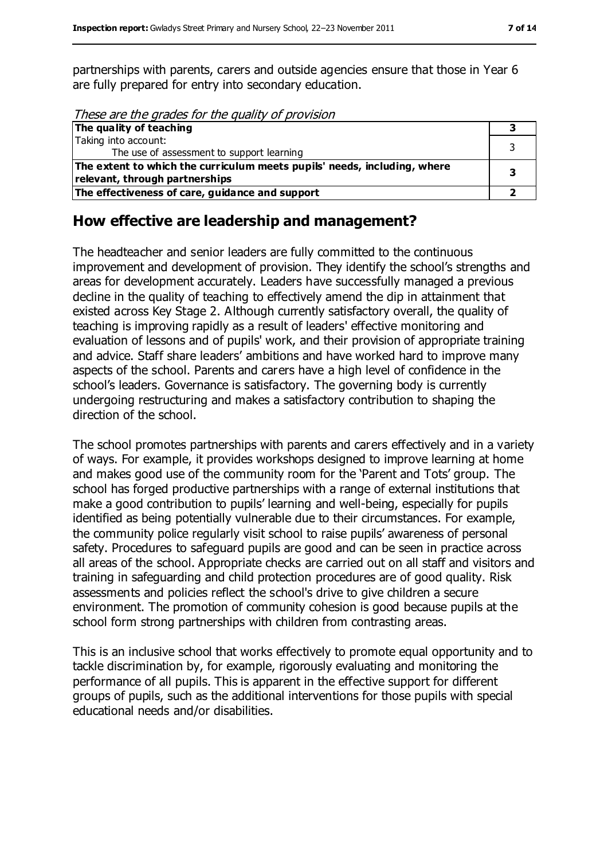partnerships with parents, carers and outside agencies ensure that those in Year 6 are fully prepared for entry into secondary education.

These are the grades for the quality of provision

| The quality of teaching                                                  |  |
|--------------------------------------------------------------------------|--|
| Taking into account:                                                     |  |
| The use of assessment to support learning                                |  |
| The extent to which the curriculum meets pupils' needs, including, where |  |
| relevant, through partnerships                                           |  |
| The effectiveness of care, guidance and support                          |  |

# **How effective are leadership and management?**

The headteacher and senior leaders are fully committed to the continuous improvement and development of provision. They identify the school's strengths and areas for development accurately. Leaders have successfully managed a previous decline in the quality of teaching to effectively amend the dip in attainment that existed across Key Stage 2. Although currently satisfactory overall, the quality of teaching is improving rapidly as a result of leaders' effective monitoring and evaluation of lessons and of pupils' work, and their provision of appropriate training and advice. Staff share leaders' ambitions and have worked hard to improve many aspects of the school. Parents and carers have a high level of confidence in the school's leaders. Governance is satisfactory. The governing body is currently undergoing restructuring and makes a satisfactory contribution to shaping the direction of the school.

The school promotes partnerships with parents and carers effectively and in a variety of ways. For example, it provides workshops designed to improve learning at home and makes good use of the community room for the 'Parent and Tots' group. The school has forged productive partnerships with a range of external institutions that make a good contribution to pupils' learning and well-being, especially for pupils identified as being potentially vulnerable due to their circumstances. For example, the community police regularly visit school to raise pupils' awareness of personal safety. Procedures to safeguard pupils are good and can be seen in practice across all areas of the school. Appropriate checks are carried out on all staff and visitors and training in safeguarding and child protection procedures are of good quality. Risk assessments and policies reflect the school's drive to give children a secure environment. The promotion of community cohesion is good because pupils at the school form strong partnerships with children from contrasting areas.

This is an inclusive school that works effectively to promote equal opportunity and to tackle discrimination by, for example, rigorously evaluating and monitoring the performance of all pupils. This is apparent in the effective support for different groups of pupils, such as the additional interventions for those pupils with special educational needs and/or disabilities.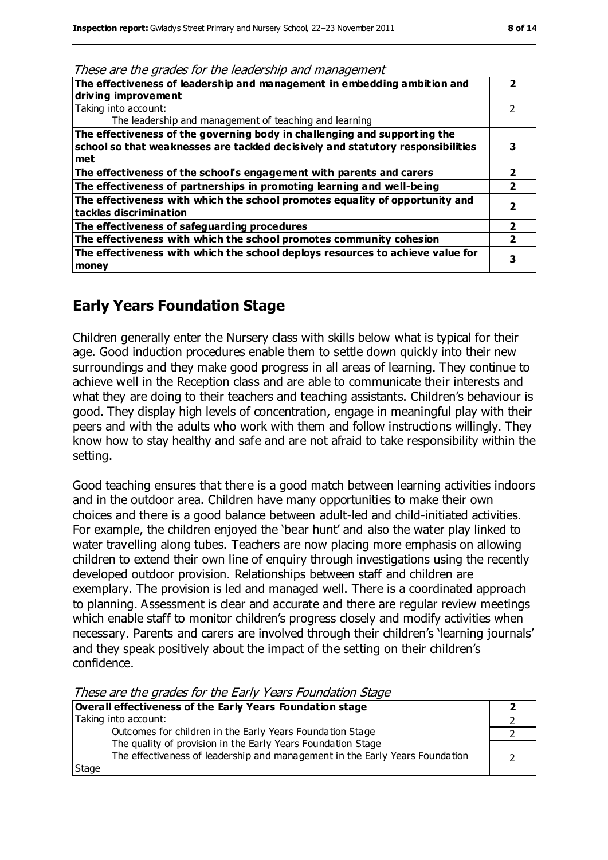| <u>HESE are the grades for the leadership and management</u>                    |   |
|---------------------------------------------------------------------------------|---|
| The effectiveness of leadership and management in embedding ambition and        | 2 |
| driving improvement                                                             |   |
| Taking into account:                                                            |   |
| The leadership and management of teaching and learning                          |   |
| The effectiveness of the governing body in challenging and supporting the       |   |
| school so that weaknesses are tackled decisively and statutory responsibilities |   |
| met                                                                             |   |
| The effectiveness of the school's engagement with parents and carers            | 2 |
| The effectiveness of partnerships in promoting learning and well-being          |   |
| The effectiveness with which the school promotes equality of opportunity and    |   |
| tackles discrimination                                                          |   |
| The effectiveness of safeguarding procedures                                    | 2 |
| The effectiveness with which the school promotes community cohesion             |   |
| The effectiveness with which the school deploys resources to achieve value for  | 3 |
| money                                                                           |   |
|                                                                                 |   |

#### These are the grades for the leadership and management

# **Early Years Foundation Stage**

Children generally enter the Nursery class with skills below what is typical for their age. Good induction procedures enable them to settle down quickly into their new surroundings and they make good progress in all areas of learning. They continue to achieve well in the Reception class and are able to communicate their interests and what they are doing to their teachers and teaching assistants. Children's behaviour is good. They display high levels of concentration, engage in meaningful play with their peers and with the adults who work with them and follow instructions willingly. They know how to stay healthy and safe and are not afraid to take responsibility within the setting.

Good teaching ensures that there is a good match between learning activities indoors and in the outdoor area. Children have many opportunities to make their own choices and there is a good balance between adult-led and child-initiated activities. For example, the children enjoyed the 'bear hunt' and also the water play linked to water travelling along tubes. Teachers are now placing more emphasis on allowing children to extend their own line of enquiry through investigations using the recently developed outdoor provision. Relationships between staff and children are exemplary. The provision is led and managed well. There is a coordinated approach to planning. Assessment is clear and accurate and there are regular review meetings which enable staff to monitor children's progress closely and modify activities when necessary. Parents and carers are involved through their children's 'learning journals' and they speak positively about the impact of the setting on their children's confidence.

These are the grades for the Early Years Foundation Stage

| Overall effectiveness of the Early Years Foundation stage                                                                                    |  |
|----------------------------------------------------------------------------------------------------------------------------------------------|--|
| Taking into account:                                                                                                                         |  |
| Outcomes for children in the Early Years Foundation Stage                                                                                    |  |
| The quality of provision in the Early Years Foundation Stage<br>The effectiveness of leadership and management in the Early Years Foundation |  |
| Stage                                                                                                                                        |  |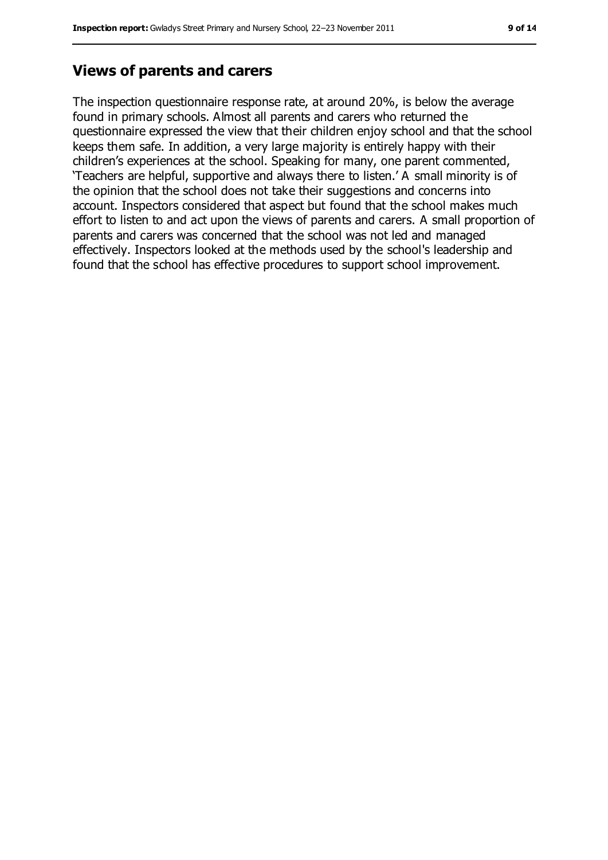# **Views of parents and carers**

The inspection questionnaire response rate, at around 20%, is below the average found in primary schools. Almost all parents and carers who returned the questionnaire expressed the view that their children enjoy school and that the school keeps them safe. In addition, a very large majority is entirely happy with their children's experiences at the school. Speaking for many, one parent commented, 'Teachers are helpful, supportive and always there to listen.' A small minority is of the opinion that the school does not take their suggestions and concerns into account. Inspectors considered that aspect but found that the school makes much effort to listen to and act upon the views of parents and carers. A small proportion of parents and carers was concerned that the school was not led and managed effectively. Inspectors looked at the methods used by the school's leadership and found that the school has effective procedures to support school improvement.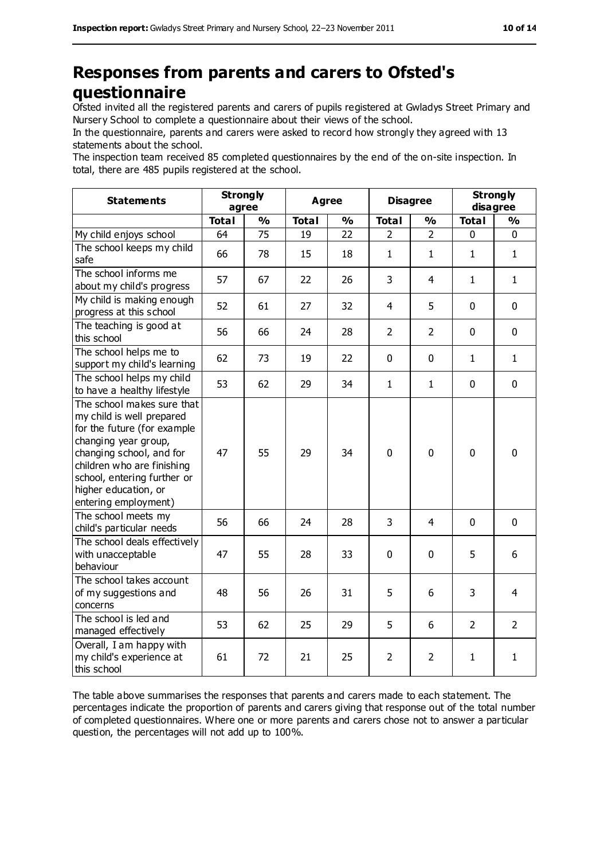# **Responses from parents and carers to Ofsted's questionnaire**

Ofsted invited all the registered parents and carers of pupils registered at Gwladys Street Primary and Nursery School to complete a questionnaire about their views of the school.

In the questionnaire, parents and carers were asked to record how strongly they agreed with 13 statements about the school.

The inspection team received 85 completed questionnaires by the end of the on-site inspection. In total, there are 485 pupils registered at the school.

| <b>Statements</b>                                                                                                                                                                                                                                       | <b>Strongly</b><br>agree |               | <b>Agree</b> |               | <b>Disagree</b> |                | <b>Strongly</b><br>disagree |                |
|---------------------------------------------------------------------------------------------------------------------------------------------------------------------------------------------------------------------------------------------------------|--------------------------|---------------|--------------|---------------|-----------------|----------------|-----------------------------|----------------|
|                                                                                                                                                                                                                                                         | <b>Total</b>             | $\frac{1}{2}$ | <b>Total</b> | $\frac{0}{0}$ | <b>Total</b>    | $\frac{1}{2}$  | <b>Total</b>                | $\frac{0}{0}$  |
| My child enjoys school                                                                                                                                                                                                                                  | 64                       | 75            | 19           | 22            | 2               | $\overline{2}$ | 0                           | 0              |
| The school keeps my child<br>safe                                                                                                                                                                                                                       | 66                       | 78            | 15           | 18            | $\mathbf{1}$    | $\mathbf{1}$   | $\mathbf{1}$                | $\mathbf{1}$   |
| The school informs me<br>about my child's progress                                                                                                                                                                                                      | 57                       | 67            | 22           | 26            | 3               | $\overline{4}$ | $\mathbf{1}$                | $\mathbf{1}$   |
| My child is making enough<br>progress at this school                                                                                                                                                                                                    | 52                       | 61            | 27           | 32            | $\overline{4}$  | 5              | $\mathbf 0$                 | $\mathbf 0$    |
| The teaching is good at<br>this school                                                                                                                                                                                                                  | 56                       | 66            | 24           | 28            | $\overline{2}$  | $\overline{2}$ | $\mathbf 0$                 | $\mathbf 0$    |
| The school helps me to<br>support my child's learning                                                                                                                                                                                                   | 62                       | 73            | 19           | 22            | 0               | $\mathbf 0$    | $\mathbf{1}$                | $\mathbf{1}$   |
| The school helps my child<br>to have a healthy lifestyle                                                                                                                                                                                                | 53                       | 62            | 29           | 34            | $\mathbf{1}$    | $\mathbf{1}$   | $\mathbf 0$                 | $\mathbf 0$    |
| The school makes sure that<br>my child is well prepared<br>for the future (for example<br>changing year group,<br>changing school, and for<br>children who are finishing<br>school, entering further or<br>higher education, or<br>entering employment) | 47                       | 55            | 29           | 34            | $\mathbf 0$     | $\mathbf 0$    | $\mathbf 0$                 | $\mathbf 0$    |
| The school meets my<br>child's particular needs                                                                                                                                                                                                         | 56                       | 66            | 24           | 28            | 3               | $\overline{4}$ | $\mathbf 0$                 | $\mathbf 0$    |
| The school deals effectively<br>with unacceptable<br>behaviour                                                                                                                                                                                          | 47                       | 55            | 28           | 33            | 0               | $\mathbf 0$    | 5                           | 6              |
| The school takes account<br>of my suggestions and<br>concerns                                                                                                                                                                                           | 48                       | 56            | 26           | 31            | 5               | 6              | 3                           | 4              |
| The school is led and<br>managed effectively                                                                                                                                                                                                            | 53                       | 62            | 25           | 29            | 5               | 6              | 2                           | $\overline{2}$ |
| Overall, I am happy with<br>my child's experience at<br>this school                                                                                                                                                                                     | 61                       | 72            | 21           | 25            | $\overline{2}$  | $\overline{2}$ | 1                           | $\mathbf{1}$   |

The table above summarises the responses that parents and carers made to each statement. The percentages indicate the proportion of parents and carers giving that response out of the total number of completed questionnaires. Where one or more parents and carers chose not to answer a particular question, the percentages will not add up to 100%.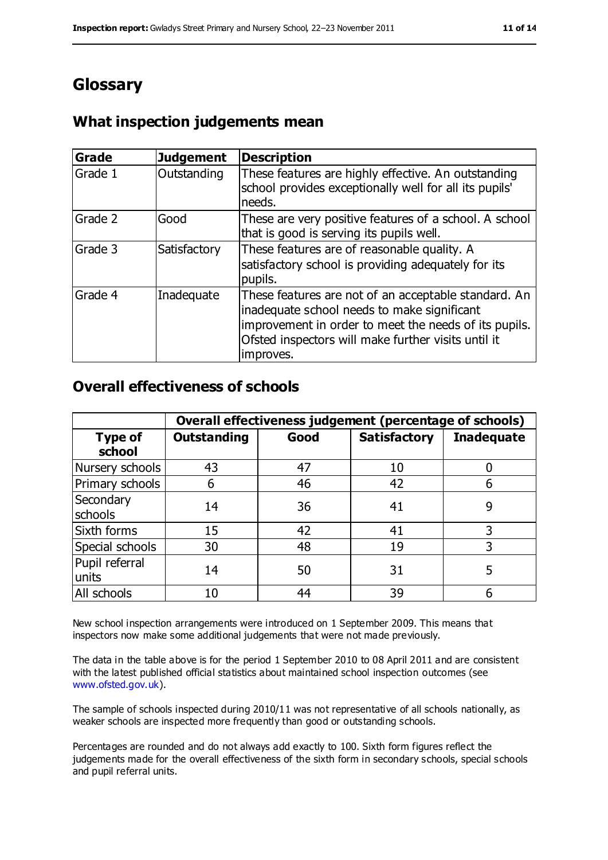# **Glossary**

# **What inspection judgements mean**

| <b>Grade</b> | <b>Judgement</b> | <b>Description</b>                                                                                                                                                                                                               |
|--------------|------------------|----------------------------------------------------------------------------------------------------------------------------------------------------------------------------------------------------------------------------------|
| Grade 1      | Outstanding      | These features are highly effective. An outstanding<br>school provides exceptionally well for all its pupils'<br>needs.                                                                                                          |
| Grade 2      | Good             | These are very positive features of a school. A school<br>that is good is serving its pupils well.                                                                                                                               |
| Grade 3      | Satisfactory     | These features are of reasonable quality. A<br>satisfactory school is providing adequately for its<br>pupils.                                                                                                                    |
| Grade 4      | Inadequate       | These features are not of an acceptable standard. An<br>inadequate school needs to make significant<br>improvement in order to meet the needs of its pupils.<br>Ofsted inspectors will make further visits until it<br>improves. |

### **Overall effectiveness of schools**

|                          | Overall effectiveness judgement (percentage of schools) |      |                     |                   |
|--------------------------|---------------------------------------------------------|------|---------------------|-------------------|
| <b>Type of</b><br>school | <b>Outstanding</b>                                      | Good | <b>Satisfactory</b> | <b>Inadequate</b> |
| Nursery schools          | 43                                                      | 47   | 10                  |                   |
| Primary schools          | 6                                                       | 46   | 42                  |                   |
| Secondary<br>schools     | 14                                                      | 36   | 41                  | 9                 |
| Sixth forms              | 15                                                      | 42   | 41                  | 3                 |
| Special schools          | 30                                                      | 48   | 19                  | 3                 |
| Pupil referral<br>units  | 14                                                      | 50   | 31                  | 5                 |
| All schools              | 10                                                      | 44   | 39                  |                   |

New school inspection arrangements were introduced on 1 September 2009. This means that inspectors now make some additional judgements that were not made previously.

The data in the table above is for the period 1 September 2010 to 08 April 2011 and are consistent with the latest published official statistics about maintained school inspection outcomes (see [www.ofsted.gov.uk\)](http://www.ofsted.gov.uk/).

The sample of schools inspected during 2010/11 was not representative of all schools nationally, as weaker schools are inspected more frequently than good or outstanding schools.

Percentages are rounded and do not always add exactly to 100. Sixth form figures reflect the judgements made for the overall effectiveness of the sixth form in secondary schools, special schools and pupil referral units.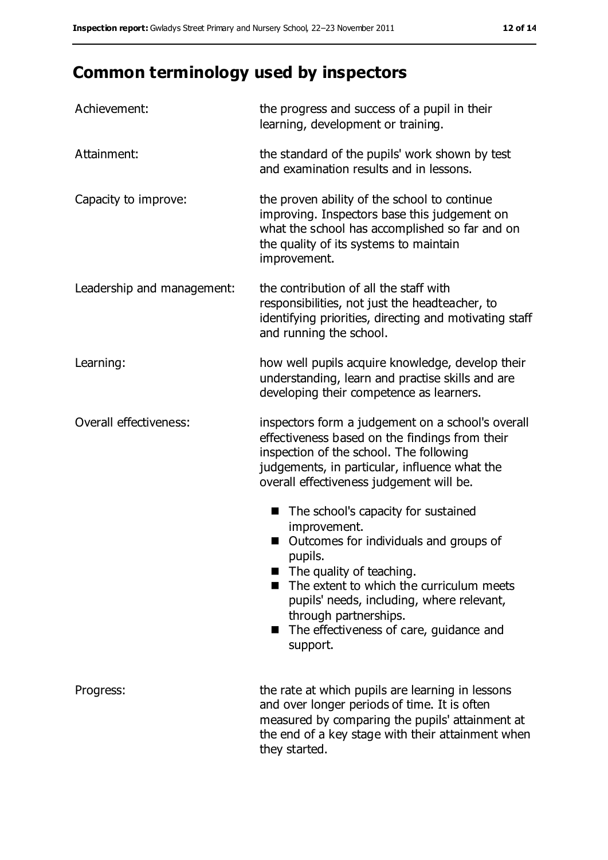# **Common terminology used by inspectors**

| Achievement:               | the progress and success of a pupil in their<br>learning, development or training.                                                                                                                                                                                                                                  |
|----------------------------|---------------------------------------------------------------------------------------------------------------------------------------------------------------------------------------------------------------------------------------------------------------------------------------------------------------------|
| Attainment:                | the standard of the pupils' work shown by test<br>and examination results and in lessons.                                                                                                                                                                                                                           |
| Capacity to improve:       | the proven ability of the school to continue<br>improving. Inspectors base this judgement on<br>what the school has accomplished so far and on<br>the quality of its systems to maintain<br>improvement.                                                                                                            |
| Leadership and management: | the contribution of all the staff with<br>responsibilities, not just the headteacher, to<br>identifying priorities, directing and motivating staff<br>and running the school.                                                                                                                                       |
| Learning:                  | how well pupils acquire knowledge, develop their<br>understanding, learn and practise skills and are<br>developing their competence as learners.                                                                                                                                                                    |
| Overall effectiveness:     | inspectors form a judgement on a school's overall<br>effectiveness based on the findings from their<br>inspection of the school. The following<br>judgements, in particular, influence what the<br>overall effectiveness judgement will be.                                                                         |
|                            | The school's capacity for sustained<br>improvement.<br>Outcomes for individuals and groups of<br>pupils.<br>The quality of teaching.<br>The extent to which the curriculum meets<br>pupils' needs, including, where relevant,<br>through partnerships.<br>The effectiveness of care, guidance and<br>۰.<br>support. |
| Progress:                  | the rate at which pupils are learning in lessons<br>and over longer periods of time. It is often<br>measured by comparing the pupils' attainment at<br>the end of a key stage with their attainment when<br>they started.                                                                                           |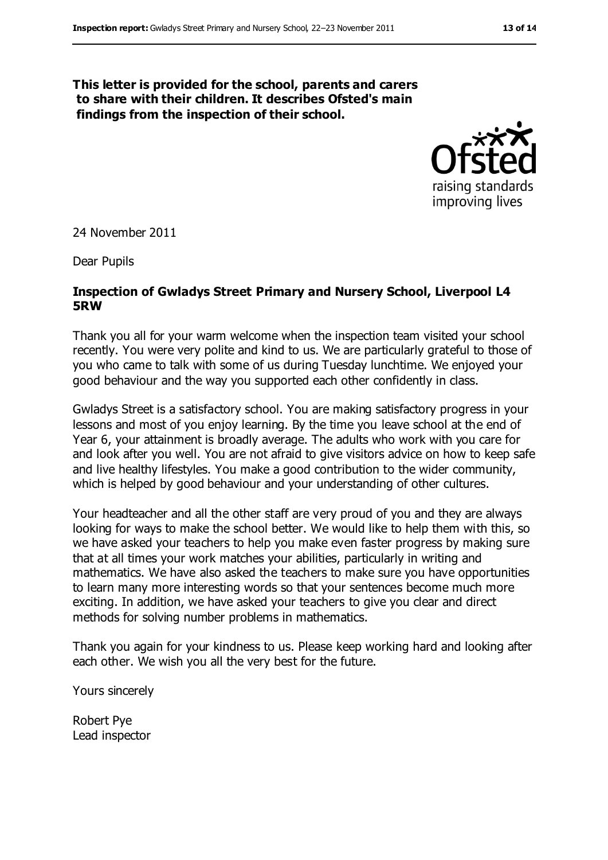#### **This letter is provided for the school, parents and carers to share with their children. It describes Ofsted's main findings from the inspection of their school.**



24 November 2011

Dear Pupils

#### **Inspection of Gwladys Street Primary and Nursery School, Liverpool L4 5RW**

Thank you all for your warm welcome when the inspection team visited your school recently. You were very polite and kind to us. We are particularly grateful to those of you who came to talk with some of us during Tuesday lunchtime. We enjoyed your good behaviour and the way you supported each other confidently in class.

Gwladys Street is a satisfactory school. You are making satisfactory progress in your lessons and most of you enjoy learning. By the time you leave school at the end of Year 6, your attainment is broadly average. The adults who work with you care for and look after you well. You are not afraid to give visitors advice on how to keep safe and live healthy lifestyles. You make a good contribution to the wider community, which is helped by good behaviour and your understanding of other cultures.

Your headteacher and all the other staff are very proud of you and they are always looking for ways to make the school better. We would like to help them with this, so we have asked your teachers to help you make even faster progress by making sure that at all times your work matches your abilities, particularly in writing and mathematics. We have also asked the teachers to make sure you have opportunities to learn many more interesting words so that your sentences become much more exciting. In addition, we have asked your teachers to give you clear and direct methods for solving number problems in mathematics.

Thank you again for your kindness to us. Please keep working hard and looking after each other. We wish you all the very best for the future.

Yours sincerely

Robert Pye Lead inspector